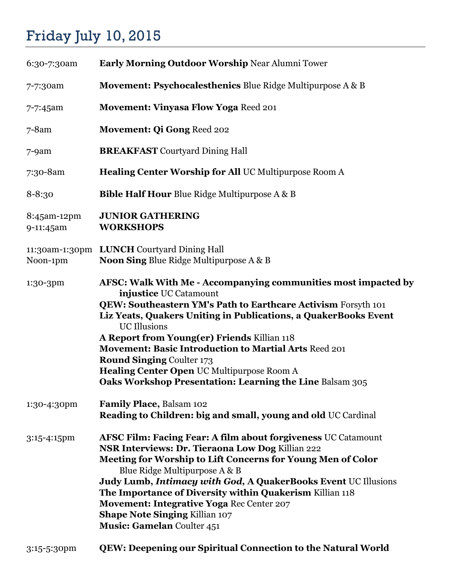## Friday July 10, 2015

| 6:30-7:30am              | Early Morning Outdoor Worship Near Alumni Tower                                                                                                                                                                                                                                                                                                                                                                                                                                                                  |
|--------------------------|------------------------------------------------------------------------------------------------------------------------------------------------------------------------------------------------------------------------------------------------------------------------------------------------------------------------------------------------------------------------------------------------------------------------------------------------------------------------------------------------------------------|
| 7-7:30am                 | <b>Movement: Psychocalesthenics Blue Ridge Multipurpose A &amp; B</b>                                                                                                                                                                                                                                                                                                                                                                                                                                            |
| 7-7:45am                 | <b>Movement: Vinyasa Flow Yoga Reed 201</b>                                                                                                                                                                                                                                                                                                                                                                                                                                                                      |
| $7 - 8$ am               | Movement: Qi Gong Reed 202                                                                                                                                                                                                                                                                                                                                                                                                                                                                                       |
| $7 - 9$ am               | <b>BREAKFAST</b> Courtyard Dining Hall                                                                                                                                                                                                                                                                                                                                                                                                                                                                           |
| 7:30-8am                 | <b>Healing Center Worship for All UC Multipurpose Room A</b>                                                                                                                                                                                                                                                                                                                                                                                                                                                     |
| $8 - 8:30$               | <b>Bible Half Hour Blue Ridge Multipurpose A &amp; B</b>                                                                                                                                                                                                                                                                                                                                                                                                                                                         |
| 8:45am-12pm<br>9-11:45am | <b>JUNIOR GATHERING</b><br><b>WORKSHOPS</b>                                                                                                                                                                                                                                                                                                                                                                                                                                                                      |
| Noon-1pm                 | 11:30am-1:30pm LUNCH Courtyard Dining Hall<br><b>Noon Sing Blue Ridge Multipurpose A &amp; B</b>                                                                                                                                                                                                                                                                                                                                                                                                                 |
| 1:30-3pm                 | AFSC: Walk With Me - Accompanying communities most impacted by<br>injustice UC Catamount<br><b>QEW: Southeastern YM's Path to Earthcare Activism Forsyth 101</b><br>Liz Yeats, Quakers Uniting in Publications, a QuakerBooks Event<br><b>UC</b> Illusions<br>A Report from Young(er) Friends Killian 118<br>Movement: Basic Introduction to Martial Arts Reed 201<br><b>Round Singing Coulter 173</b><br>Healing Center Open UC Multipurpose Room A<br>Oaks Workshop Presentation: Learning the Line Balsam 305 |
| 1:30-4:30pm              | Family Place, Balsam 102<br>Reading to Children: big and small, young and old UC Cardinal                                                                                                                                                                                                                                                                                                                                                                                                                        |
| 3:15-4:15pm              | <b>AFSC Film: Facing Fear: A film about forgiveness UC Catamount</b><br>NSR Interviews: Dr. Tieraona Low Dog Killian 222<br>Meeting for Worship to Lift Concerns for Young Men of Color<br>Blue Ridge Multipurpose A & B<br>Judy Lumb, Intimacy with God, A QuakerBooks Event UC Illusions<br>The Importance of Diversity within Quakerism Killian 118<br>Movement: Integrative Yoga Rec Center 207<br><b>Shape Note Singing Killian 107</b><br><b>Music: Gamelan Coulter 451</b>                                |
| 3:15-5:30pm              | QEW: Deepening our Spiritual Connection to the Natural World                                                                                                                                                                                                                                                                                                                                                                                                                                                     |